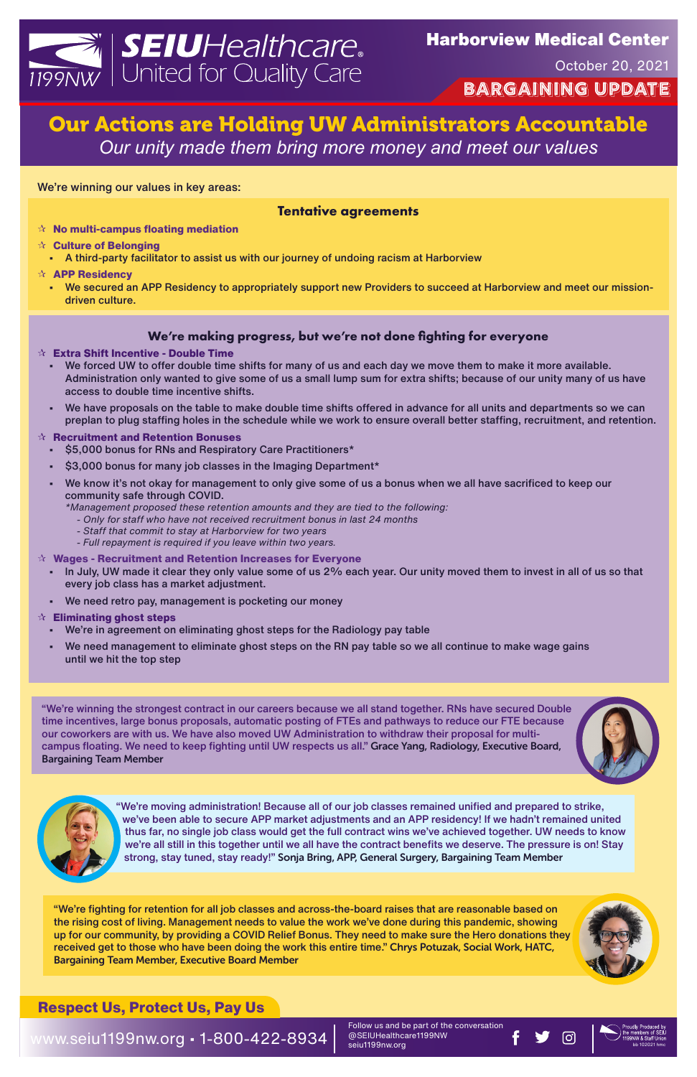# Our Actions are Holding UW Administrators Accountable *Our unity made them bring more money and meet our values*

Follow us and be part of the conversation @SEIUHealthcare1199NW @SEIUHealthcare1199NW<br>seiu1199nw.org bb 102021 hmc



# **EIU**Healthcare® 1199NW | United for Quality Care

**Bargaining update** October 20, 2021

www.seiu1199nw.org • 1-800-422-8934

We're winning our values in key areas:

#### **Tentative agreements**

- **No multi-campus floating mediation**
- **Culture of Belonging**
	- A third-party facilitator to assist us with our journey of undoing racism at Harborview
- **APP Residency**
	- We secured an APP Residency to appropriately support new Providers to succeed at Harborview and meet our missiondriven culture.

#### **We're making progress, but we're not done fighting for everyone**

#### **Extra Shift Incentive - Double Time**

- We forced UW to offer double time shifts for many of us and each day we move them to make it more available. Administration only wanted to give some of us a small lump sum for extra shifts; because of our unity many of us have access to double time incentive shifts.
- We have proposals on the table to make double time shifts offered in advance for all units and departments so we can preplan to plug staffing holes in the schedule while we work to ensure overall better staffing, recruitment, and retention.

#### **Recruitment and Retention Bonuses**

- \$5,000 bonus for RNs and Respiratory Care Practitioners\*
- \$3,000 bonus for many job classes in the Imaging Department\*
- We know it's not okay for management to only give some of us a bonus when we all have sacrificed to keep our community safe through COVID.
	- *\*Management proposed these retention amounts and they are tied to the following:*
		- *Only for staff who have not received recruitment bonus in last 24 months*
		- *Staff that commit to stay at Harborview for two years*
		- *Full repayment is required if you leave within two years.*

#### **Wages - Recruitment and Retention Increases for Everyone**

- In July, UW made it clear they only value some of us 2% each year. Our unity moved them to invest in all of us so that every job class has a market adjustment.
- We need retro pay, management is pocketing our money

#### **Eliminating ghost steps**

- We're in agreement on eliminating ghost steps for the Radiology pay table
- We need management to eliminate ghost steps on the RN pay table so we all continue to make wage gains until we hit the top step

"We're moving administration! Because all of our job classes remained unified and prepared to strike, we've been able to secure APP market adjustments and an APP residency! If we hadn't remained united thus far, no single job class would get the full contract wins we've achieved together. UW needs to know we're all still in this together until we all have the contract benefits we deserve. The pressure is on! Stay strong, stay tuned, stay ready!" Sonja Bring, APP, General Surgery, Bargaining Team Member

"We're winning the strongest contract in our careers because we all stand together. RNs have secured Double time incentives, large bonus proposals, automatic posting of FTEs and pathways to reduce our FTE because our coworkers are with us. We have also moved UW Administration to withdraw their proposal for multicampus floating. We need to keep fighting until UW respects us all." Grace Yang, Radiology, Executive Board, Bargaining Team Member





"We're fighting for retention for all job classes and across-the-board raises that are reasonable based on the rising cost of living. Management needs to value the work we've done during this pandemic, showing up for our community, by providing a COVID Relief Bonus. They need to make sure the Hero donations they received get to those who have been doing the work this entire time." Chrys Potuzak, Social Work, HATC, Bargaining Team Member, Executive Board Member



## **Respect Us, Protect Us, Pay Us**